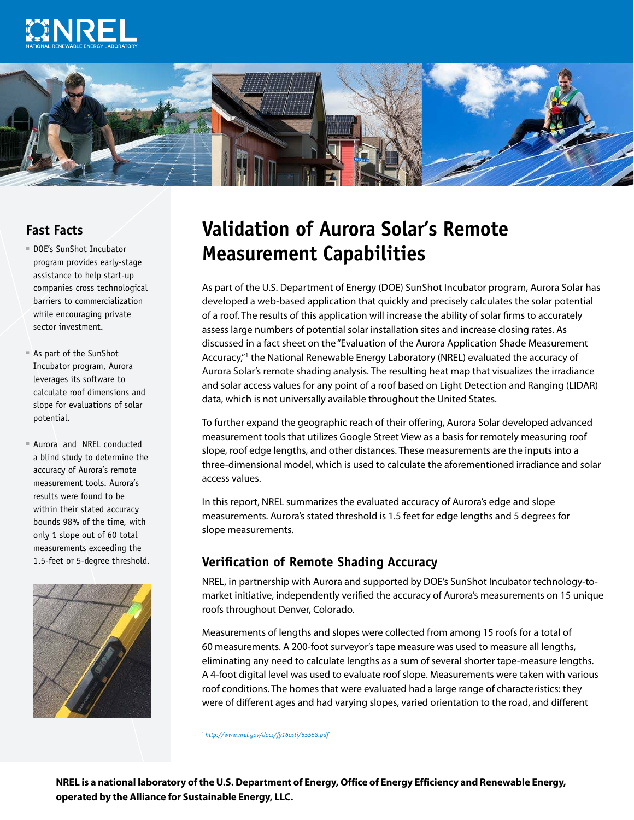



### **Fast Facts**

- DOE's SunShot Incubator program provides early-stage assistance to help start-up companies cross technological barriers to commercialization while encouraging private sector investment.
- ■■ As part of the SunShot Incubator program, Aurora leverages its software to calculate roof dimensions and slope for evaluations of solar potential.
- Aurora and NREL conducted a blind study to determine the accuracy of Aurora's remote measurement tools. Aurora's results were found to be within their stated accuracy bounds 98% of the time, with only 1 slope out of 60 total measurements exceeding the 1.5-feet or 5-degree threshold.



## **Validation of Aurora Solar's Remote Measurement Capabilities**

As part of the U.S. Department of Energy (DOE) SunShot Incubator program, Aurora Solar has developed a web-based application that quickly and precisely calculates the solar potential of a roof. The results of this application will increase the ability of solar firms to accurately assess large numbers of potential solar installation sites and increase closing rates. As discussed in a fact sheet on the "Evaluation of the Aurora Application Shade Measurement Accuracy,"<sup>1</sup> the National Renewable Energy Laboratory (NREL) evaluated the accuracy of Aurora Solar's remote shading analysis. The resulting heat map that visualizes the irradiance and solar access values for any point of a roof based on Light Detection and Ranging (LIDAR) data, which is not universally available throughout the United States.

To further expand the geographic reach of their offering, Aurora Solar developed advanced measurement tools that utilizes Google Street View as a basis for remotely measuring roof slope, roof edge lengths, and other distances. These measurements are the inputs into a three-dimensional model, which is used to calculate the aforementioned irradiance and solar access values.

In this report, NREL summarizes the evaluated accuracy of Aurora's edge and slope measurements. Aurora's stated threshold is 1.5 feet for edge lengths and 5 degrees for slope measurements.

#### **Verification of Remote Shading Accuracy**

NREL, in partnership with Aurora and supported by DOE's SunShot Incubator technology-tomarket initiative, independently verified the accuracy of Aurora's measurements on 15 unique roofs throughout Denver, Colorado.

Measurements of lengths and slopes were collected from among 15 roofs for a total of 60 measurements. A 200-foot surveyor's tape measure was used to measure all lengths, eliminating any need to calculate lengths as a sum of several shorter tape-measure lengths. A 4-foot digital level was used to evaluate roof slope. Measurements were taken with various roof conditions. The homes that were evaluated had a large range of characteristics: they were of different ages and had varying slopes, varied orientation to the road, and different

1 *<http://www.nrel.gov/docs/fy16osti/65558.pdf>*

**NREL is a national laboratory of the U.S. Department of Energy, Office of Energy Efficiency and Renewable Energy, operated by the Alliance for Sustainable Energy, LLC.**